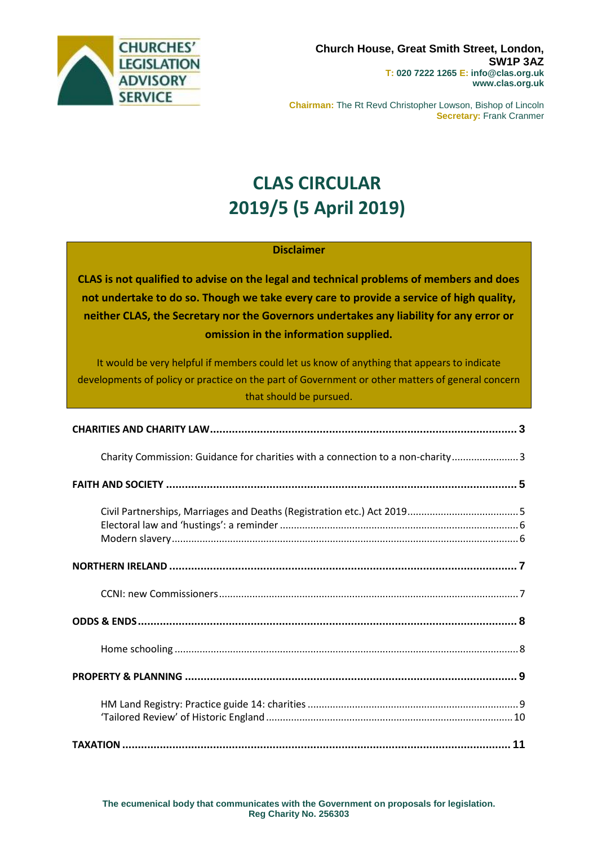

**Chairman:** The Rt Revd Christopher Lowson, Bishop of Lincoln **Secretary:** Frank Cranmer

# **CLAS CIRCULAR 2019/5 (5 April 2019)**

#### **Disclaimer**

**CLAS is not qualified to advise on the legal and technical problems of members and does not undertake to do so. Though we take every care to provide a service of high quality, neither CLAS, the Secretary nor the Governors undertakes any liability for any error or omission in the information supplied.**

It would be very helpful if members could let us know of anything that appears to indicate developments of policy or practice on the part of Government or other matters of general concern that should be pursued.

| Charity Commission: Guidance for charities with a connection to a non-charity 3 |  |
|---------------------------------------------------------------------------------|--|
|                                                                                 |  |
|                                                                                 |  |
|                                                                                 |  |
|                                                                                 |  |
|                                                                                 |  |
|                                                                                 |  |
|                                                                                 |  |
|                                                                                 |  |
|                                                                                 |  |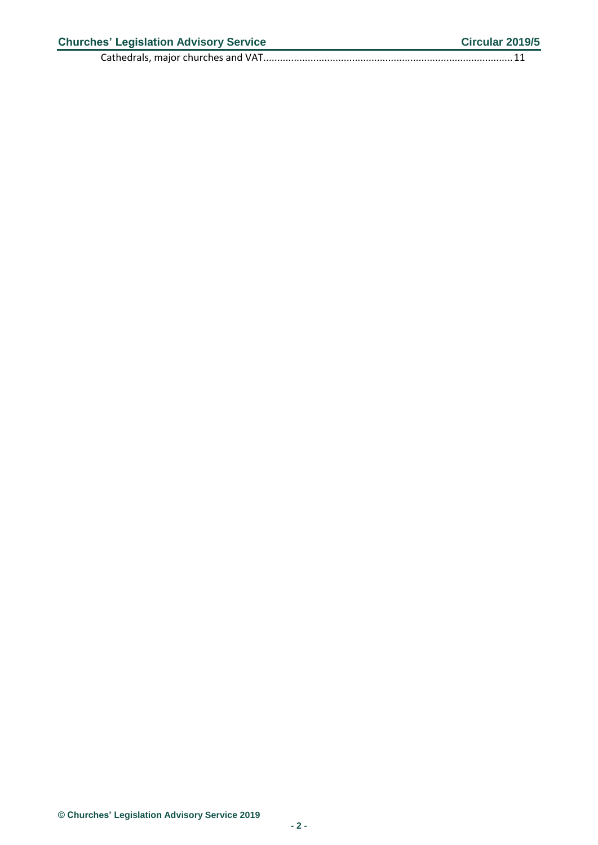Cathedrals, major churches and [VAT..........................................................................................11](#page-10-1)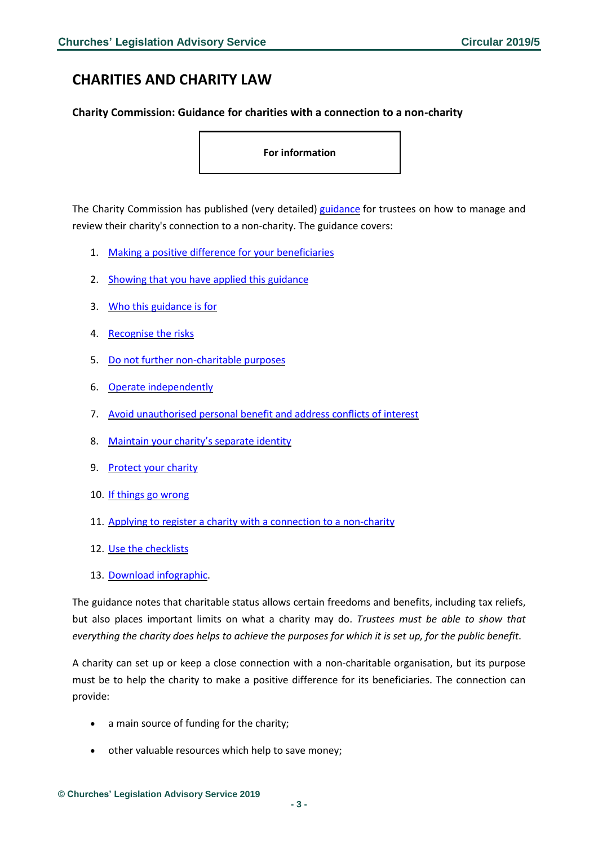# <span id="page-2-0"></span>**CHARITIES AND CHARITY LAW**

#### <span id="page-2-1"></span>**Charity Commission: Guidance for charities with a connection to a non-charity**

**For information**

The Charity Commission has published (very detailed) [guidance](https://www.gov.uk/guidance/guidance-for-charities-with-a-connection-to-a-non-charity?utm_source=61f424aa-e009-4e4e-8fc0-e6832d448897&utm_medium=email&utm_campaign=govuk-notifications&utm_content=immediate) for trustees on how to manage and review their charity's connection to a non-charity. The guidance covers:

- 1. Making a positive difference for your [beneficiaries](https://www.gov.uk/guidance/guidance-for-charities-with-a-connection-to-a-non-charity?utm_source=61f424aa-e009-4e4e-8fc0-e6832d448897&utm_medium=email&utm_campaign=govuk-notifications&utm_content=immediate#making-a-positive-difference-for-your-beneficiaries)
- 2. Showing that you have applied this [guidance](https://www.gov.uk/guidance/guidance-for-charities-with-a-connection-to-a-non-charity?utm_source=61f424aa-e009-4e4e-8fc0-e6832d448897&utm_medium=email&utm_campaign=govuk-notifications&utm_content=immediate#showing-that-you-have-applied-this-guidance)
- 3. Who this [guidance](https://www.gov.uk/guidance/guidance-for-charities-with-a-connection-to-a-non-charity?utm_source=61f424aa-e009-4e4e-8fc0-e6832d448897&utm_medium=email&utm_campaign=govuk-notifications&utm_content=immediate#who-this-guidance-is-for) is for
- 4. [Recognise](https://www.gov.uk/guidance/guidance-for-charities-with-a-connection-to-a-non-charity?utm_source=61f424aa-e009-4e4e-8fc0-e6832d448897&utm_medium=email&utm_campaign=govuk-notifications&utm_content=immediate#recognise-the-risks) the risks
- 5. Do not further [non-charitable](https://www.gov.uk/guidance/guidance-for-charities-with-a-connection-to-a-non-charity?utm_source=61f424aa-e009-4e4e-8fc0-e6832d448897&utm_medium=email&utm_campaign=govuk-notifications&utm_content=immediate#do-not-further-non-charitable-purposes) purposes
- 6. Operate [independently](https://www.gov.uk/guidance/guidance-for-charities-with-a-connection-to-a-non-charity?utm_source=61f424aa-e009-4e4e-8fc0-e6832d448897&utm_medium=email&utm_campaign=govuk-notifications&utm_content=immediate#operate-independently)
- 7. Avoid [unauthorised](https://www.gov.uk/guidance/guidance-for-charities-with-a-connection-to-a-non-charity?utm_source=61f424aa-e009-4e4e-8fc0-e6832d448897&utm_medium=email&utm_campaign=govuk-notifications&utm_content=immediate#avoid-unauthorised-personal-benefit-and-address-conflicts-of-interest) personal benefit and address conflicts of interest
- 8. [Maintain](https://www.gov.uk/guidance/guidance-for-charities-with-a-connection-to-a-non-charity?utm_source=61f424aa-e009-4e4e-8fc0-e6832d448897&utm_medium=email&utm_campaign=govuk-notifications&utm_content=immediate#maintain-your-charitys-separate-identity) your charity's separate identity
- 9. [Protect](https://www.gov.uk/guidance/guidance-for-charities-with-a-connection-to-a-non-charity?utm_source=61f424aa-e009-4e4e-8fc0-e6832d448897&utm_medium=email&utm_campaign=govuk-notifications&utm_content=immediate#protect-your-charity) your charity
- 10. If things go [wrong](https://www.gov.uk/guidance/guidance-for-charities-with-a-connection-to-a-non-charity?utm_source=61f424aa-e009-4e4e-8fc0-e6832d448897&utm_medium=email&utm_campaign=govuk-notifications&utm_content=immediate#if-things-go-wrong)
- 11. Applying to register a charity with a connection to a [non-charity](https://www.gov.uk/guidance/guidance-for-charities-with-a-connection-to-a-non-charity?utm_source=61f424aa-e009-4e4e-8fc0-e6832d448897&utm_medium=email&utm_campaign=govuk-notifications&utm_content=immediate#applying-to-register-a-charity-with-a-connection-to-a-non-charity)
- 12. Use the [checklists](https://www.gov.uk/guidance/guidance-for-charities-with-a-connection-to-a-non-charity?utm_source=61f424aa-e009-4e4e-8fc0-e6832d448897&utm_medium=email&utm_campaign=govuk-notifications&utm_content=immediate#check-lists)
- 13. Download [infographic.](https://www.gov.uk/guidance/guidance-for-charities-with-a-connection-to-a-non-charity?utm_source=61f424aa-e009-4e4e-8fc0-e6832d448897&utm_medium=email&utm_campaign=govuk-notifications&utm_content=immediate#download-infographic)

The guidance notes that charitable status allows certain freedoms and benefits, including tax reliefs, but also places important limits on what a charity may do. *Trustees must be able to show that* everything the charity does helps to achieve the purposes for which it is set up, for the public benefit.

A charity can set up or keep a close connection with a non-charitable organisation, but its purpose must be to help the charity to make a positive difference for its beneficiaries. The connection can provide:

- a main source of funding for the charity;
- other valuable resources which help to save money;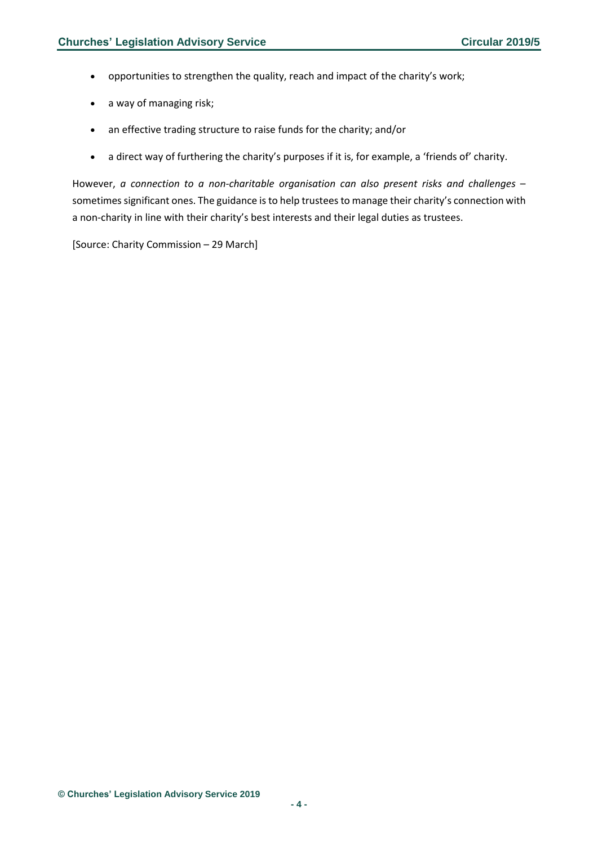- opportunities to strengthen the quality, reach and impact of the charity's work;
- a way of managing risk;
- an effective trading structure to raise funds for the charity; and/or
- a direct way of furthering the charity's purposes if it is, for example, a 'friends of' charity.

However, *a connection to a non-charitable organisation can also present risks and challenges* – sometimes significant ones. The guidance is to help trustees to manage their charity's connection with a non-charity in line with their charity's best interests and their legal duties as trustees.

[Source: Charity Commission – 29 March]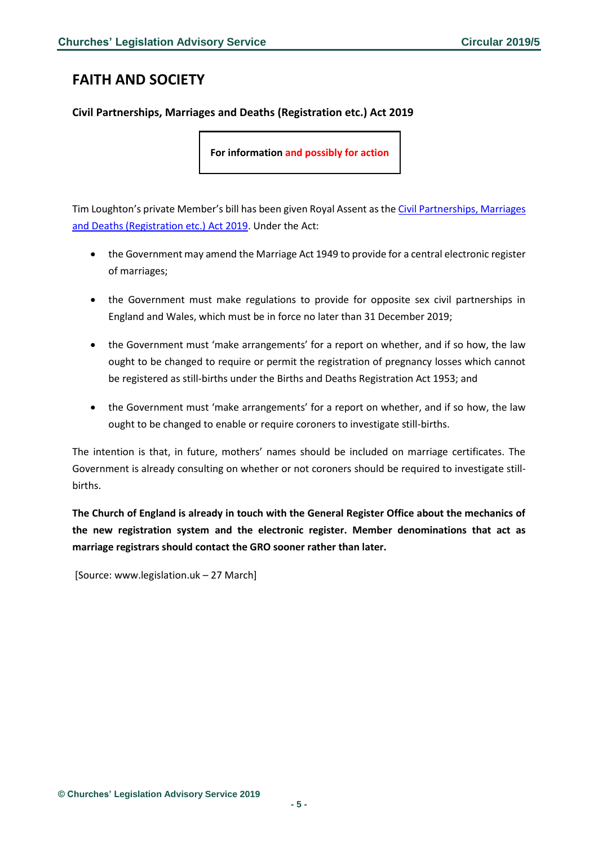# <span id="page-4-0"></span>**FAITH AND SOCIETY**

### <span id="page-4-1"></span>**Civil Partnerships, Marriages and Deaths (Registration etc.) Act 2019**

**For information and possibly for action**

Tim Loughton's private Member's bill has been given Royal Assent as the Civil Partnerships, Marriages [and Deaths \(Registration etc.\) Act 2019.](https://www.legislation.gov.uk/ukpga/2019/12/contents/enacted) Under the Act:

- the Government may amend the Marriage Act 1949 to provide for a central electronic register of marriages;
- the Government must make regulations to provide for opposite sex civil partnerships in England and Wales, which must be in force no later than 31 December 2019;
- the Government must 'make arrangements' for a report on whether, and if so how, the law ought to be changed to require or permit the registration of pregnancy losses which cannot be registered as still-births under the Births and Deaths Registration Act 1953; and
- the Government must 'make arrangements' for a report on whether, and if so how, the law ought to be changed to enable or require coroners to investigate still-births.

The intention is that, in future, mothers' names should be included on marriage certificates. The Government is already consulting on whether or not coroners should be required to investigate stillbirths.

**The Church of England is already in touch with the General Register Office about the mechanics of the new registration system and the electronic register. Member denominations that act as marriage registrars should contact the GRO sooner rather than later.** 

[Source: www.legislation.uk – 27 March]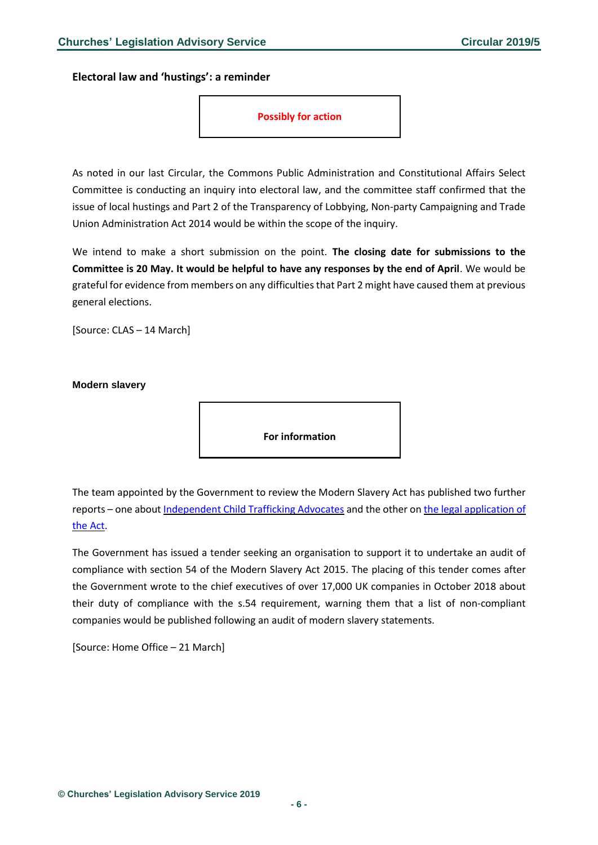<span id="page-5-0"></span>**Electoral law and 'hustings': a reminder**



As noted in our last Circular, the Commons Public Administration and Constitutional Affairs Select Committee is conducting an inquiry into electoral law, and the committee staff confirmed that the issue of local hustings and Part 2 of the Transparency of Lobbying, Non-party Campaigning and Trade Union Administration Act 2014 would be within the scope of the inquiry.

We intend to make a short submission on the point. **The closing date for submissions to the Committee is 20 May. It would be helpful to have any responses by the end of April**. We would be grateful for evidence from members on any difficulties that Part 2 might have caused them at previous general elections.

[Source: CLAS – 14 March]

<span id="page-5-1"></span>**Modern slavery**

**For information**

The team appointed by the Government to review the Modern Slavery Act has published two further reports – one about [Independent](https://www.gov.uk/government/publications/modern-slavery-act-2015-review-third-interim-report) Child Trafficking Advocates and the other on the legal [application](https://www.gov.uk/government/publications/modern-slavery-act-review-2015-fourth-interim-report) of the [Act.](https://www.gov.uk/government/publications/modern-slavery-act-review-2015-fourth-interim-report)

The Government has issued a tender seeking an organisation to support it to undertake an audit of compliance with section 54 of the Modern Slavery Act 2015. The placing of this tender comes after the Government wrote to the chief executives of over 17,000 UK companies in October 2018 about their duty of compliance with the s.54 requirement, warning them that a list of non-compliant companies would be published following an audit of modern slavery statements.

[Source: Home Office – 21 March]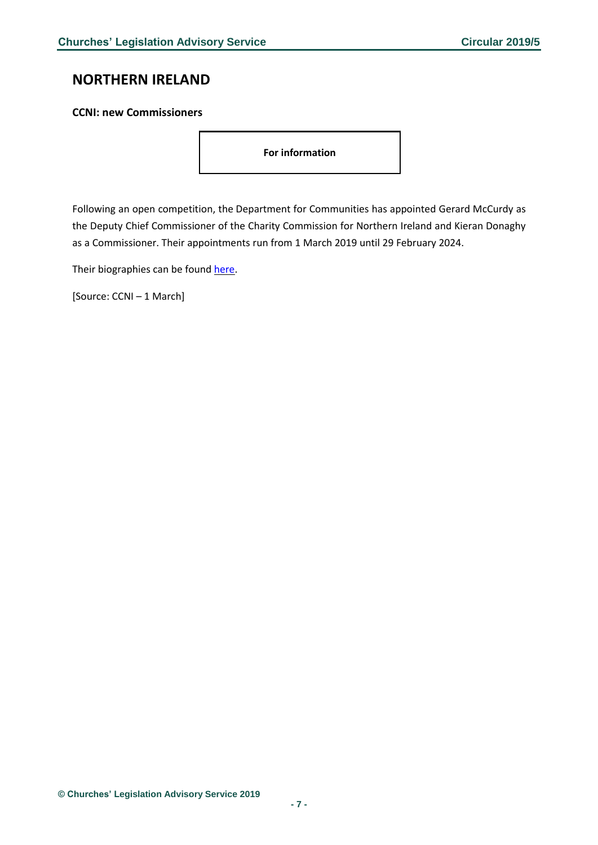## <span id="page-6-0"></span>**NORTHERN IRELAND**

#### <span id="page-6-1"></span>**CCNI: new Commissioners**

**For information**

Following an open competition, the Department for Communities has appointed Gerard McCurdy as the Deputy Chief Commissioner of the Charity Commission for Northern Ireland and Kieran Donaghy as a Commissioner. Their appointments run from 1 March 2019 until 29 February 2024.

Their biographies can be found [here.](https://www.charitycommissionni.org.uk/news/new-commissioners/)

[Source: CCNI – 1 March]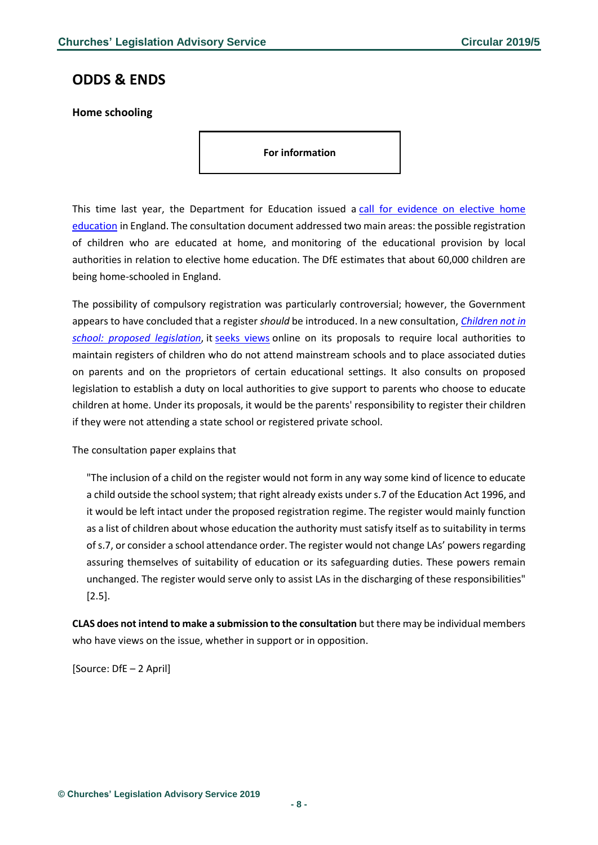## <span id="page-7-0"></span>**ODDS & ENDS**

<span id="page-7-1"></span>**Home schooling**

**For information**

This time last year, the Department for Education issued a call for evidence on elective home [education](https://consult.education.gov.uk/school-frameworks/home-education-call-for-evidence-and-revised-dfe-a/supporting_documents/Elective%20home%20educationcall%20for%20evidence%20%20consultation.pdf) in England. The consultation document addressed two main areas: the possible registration of children who are educated at home, and monitoring of the educational provision by local authorities in relation to elective home education. The DfE estimates that about 60,000 children are being home-schooled in England.

The possibility of compulsory registration was particularly controversial; however, the Government appears to have concluded that a register *should* be introduced. In a new consultation, *[Children not in](https://consult.education.gov.uk/school-frameworks/children-not-in-school/supporting_documents/EHE2019consultationpaperv9.5.pdf)  [school: proposed legislation](https://consult.education.gov.uk/school-frameworks/children-not-in-school/supporting_documents/EHE2019consultationpaperv9.5.pdf)*, it [seeks views](https://consult.education.gov.uk/school-frameworks/children-not-in-school/) online on its proposals to require local authorities to maintain registers of children who do not attend mainstream schools and to place associated duties on parents and on the proprietors of certain educational settings. It also consults on proposed legislation to establish a duty on local authorities to give support to parents who choose to educate children at home. Under its proposals, it would be the parents' responsibility to register their children if they were not attending a state school or registered private school.

The consultation paper explains that

"The inclusion of a child on the register would not form in any way some kind of licence to educate a child outside the school system; that right already exists under s.7 of the Education Act 1996, and it would be left intact under the proposed registration regime. The register would mainly function as a list of children about whose education the authority must satisfy itself as to suitability in terms of s.7, or consider a school attendance order. The register would not change LAs' powers regarding assuring themselves of suitability of education or its safeguarding duties. These powers remain unchanged. The register would serve only to assist LAs in the discharging of these responsibilities" [2.5].

**CLAS does not intend to make a submission to the consultation** but there may be individual members who have views on the issue, whether in support or in opposition.

[Source: DfE – 2 April]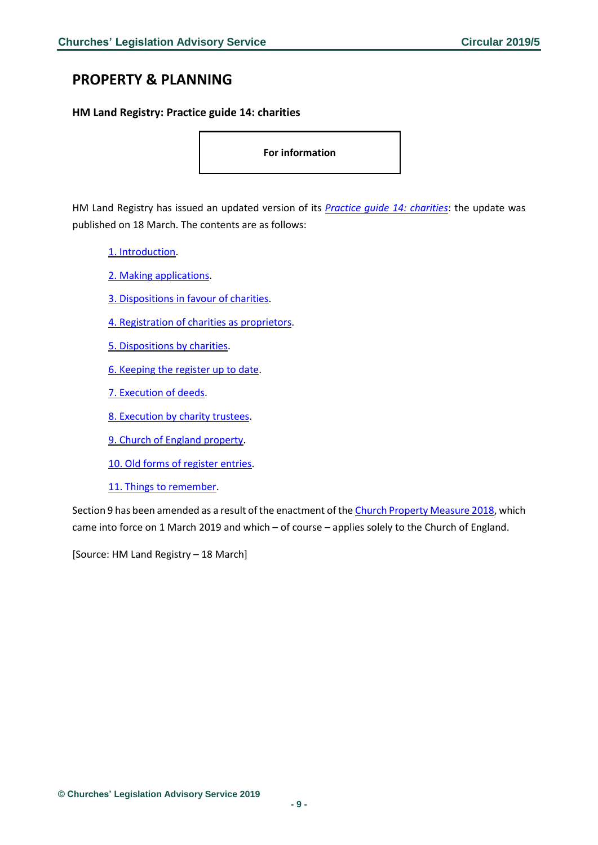## <span id="page-8-0"></span>**PROPERTY & PLANNING**

<span id="page-8-1"></span>**HM Land Registry: Practice guide 14: charities**

**For information**

HM Land Registry has issued an updated version of its *Practice guide 14: [charities](https://www.gov.uk/government/publications/charities-advice-for-applications-to-be-sent-to-land-registry/practice-guide-14-charities)*: the update was published on 18 March. The contents are as follows:

- 1. [Introduction.](https://www.gov.uk/government/publications/charities-advice-for-applications-to-be-sent-to-land-registry/practice-guide-14-charities#introduction)
- 2. Making [applications.](https://www.gov.uk/government/publications/charities-advice-for-applications-to-be-sent-to-land-registry/practice-guide-14-charities#making-applications)
- 3. [Dispositions](https://www.gov.uk/government/publications/charities-advice-for-applications-to-be-sent-to-land-registry/practice-guide-14-charities#dispositions-in-favour-of-charities) in favour of charities.
- 4. [Registration](https://www.gov.uk/government/publications/charities-advice-for-applications-to-be-sent-to-land-registry/practice-guide-14-charities#registration-of-charities-as-proprietors) of charities as proprietors.
- 5. [Dispositions](https://www.gov.uk/government/publications/charities-advice-for-applications-to-be-sent-to-land-registry/practice-guide-14-charities#dispositions-by-charities) by charities.
- 6. [Keeping](https://www.gov.uk/government/publications/charities-advice-for-applications-to-be-sent-to-land-registry/practice-guide-14-charities#keeping-the-register-up-to-date) the register up to date.
- 7. [Execution](https://www.gov.uk/government/publications/charities-advice-for-applications-to-be-sent-to-land-registry/practice-guide-14-charities#execution-deeds) of deeds.
- 8. [Execution](https://www.gov.uk/government/publications/charities-advice-for-applications-to-be-sent-to-land-registry/practice-guide-14-charities#execution-trustees) by charity trustees.
- 9. Church of England [property.](https://www.gov.uk/government/publications/charities-advice-for-applications-to-be-sent-to-land-registry/practice-guide-14-charities#church-of-england-property)
- 10. Old forms of [register](https://www.gov.uk/government/publications/charities-advice-for-applications-to-be-sent-to-land-registry/practice-guide-14-charities#forms-register) entries.
- 11. Things to [remember.](https://www.gov.uk/government/publications/charities-advice-for-applications-to-be-sent-to-land-registry/practice-guide-14-charities#things-to-remember)

Section 9 has been amended as a result of the enactment of the Church Property [Measure](https://www.legislation.gov.uk/ukcm/2018/8/enacted) 2018, which came into force on 1 March 2019 and which – of course – applies solely to the Church of England.

[Source: HM Land Registry – 18 March]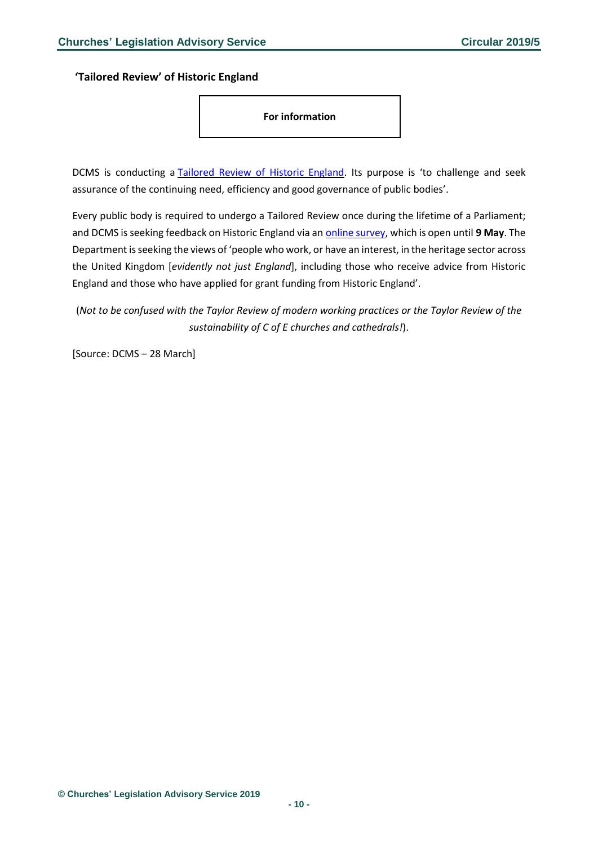<span id="page-9-0"></span>**'Tailored Review' of Historic England**

**For information**

DCMS is conducting a Tailored Review of Historic [England.](https://www.gov.uk/government/consultations/tailored-review-of-historic-england) Its purpose is 'to challenge and seek assurance of the continuing need, efficiency and good governance of public bodies'.

Every public body is required to undergo a Tailored Review once during the lifetime of a Parliament; and DCMS is seeking feedback on Historic England via an online [survey,](https://dcms.eu.qualtrics.com/jfe/form/SV_6mJGApvjjLOGnSB) which is open until **9 May**. The Department isseeking the views of 'people who work, or have an interest, in the heritage sector across the United Kingdom [*evidently not just England*], including those who receive advice from Historic England and those who have applied for grant funding from Historic England'.

(*Not to be confused with the Taylor Review of modern working practices or the Taylor Review of the sustainability of C of E churches and cathedrals!*).

[Source: DCMS – 28 March]